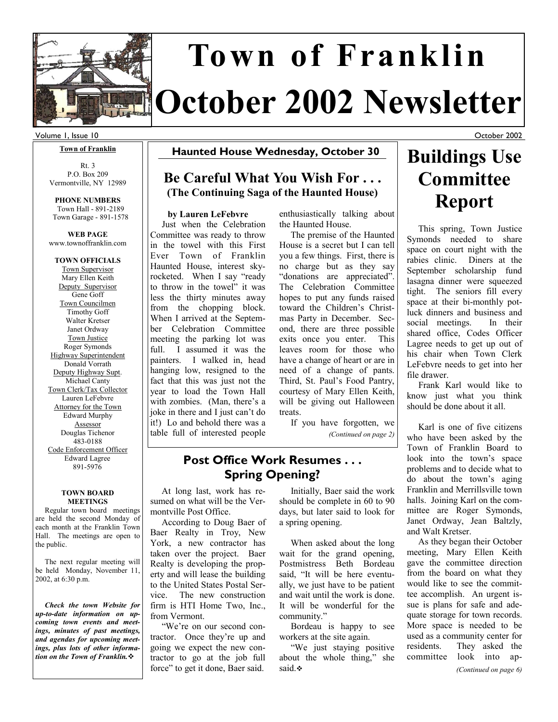

# **October 2002 Newsletter Town of Franklin**

#### Volume 1, Issue 10

#### **Town of Franklin**

Rt. 3 P.O. Box 209 Vermontville, NY 12989

**PHONE NUMBERS**  Town Hall - 891-2189 Town Garage - 891-1578

**WEB PAGE**  www.townoffranklin.com

**TOWN OFFICIALS**  Town Supervisor Mary Ellen Keith Deputy Supervisor Gene Goff Town Councilmen Timothy Goff Walter Kretser Janet Ordway Town Justice Roger Symonds Highway Superintendent Donald Vorrath Deputy Highway Supt. Michael Canty Town Clerk/Tax Collector Lauren LeFebvre Attorney for the Town Edward Murphy Assessor Douglas Tichenor 483-0188 Code Enforcement Officer Edward Lagree 891-5976

#### **TOWN BOARD MEETINGS**

 Regular town board meetings are held the second Monday of each month at the Franklin Town Hall. The meetings are open to the public.

 The next regular meeting will be held Monday, November 11, 2002, at 6:30 p.m.

 *Check the town Website for up-to-date information on upcoming town events and meetings, minutes of past meetings, and agendas for upcoming meetings, plus lots of other information on the Town of Franklin.*

**Haunted House Wednesday, October 30**

### **Be Careful What You Wish For . . . (The Continuing Saga of the Haunted House)**

#### **by Lauren LeFebvre**

 Just when the Celebration Committee was ready to throw in the towel with this First Ever Town of Franklin Haunted House, interest skyrocketed. When I say "ready to throw in the towel" it was less the thirty minutes away from the chopping block. When I arrived at the September Celebration Committee meeting the parking lot was full. I assumed it was the painters. I walked in, head hanging low, resigned to the fact that this was just not the year to load the Town Hall with zombies. (Man, there's a joke in there and I just can't do it!) Lo and behold there was a table full of interested people enthusiastically talking about the Haunted House.

 The premise of the Haunted House is a secret but I can tell you a few things. First, there is no charge but as they say "donations are appreciated". The Celebration Committee hopes to put any funds raised toward the Children's Christmas Party in December. Second, there are three possible exits once you enter. This leaves room for those who have a change of heart or are in need of a change of pants. Third, St. Paul's Food Pantry, courtesy of Mary Ellen Keith, will be giving out Halloween treats.

 If you have forgotten, we *(Continued on page 2)* 

### **Post Office Work Resumes . . . Spring Opening?**

 At long last, work has resumed on what will be the Vermontville Post Office.

 According to Doug Baer of Baer Realty in Troy, New York, a new contractor has taken over the project. Baer Realty is developing the property and will lease the building to the United States Postal Service. The new construction firm is HTI Home Two, Inc., from Vermont.

 "We're on our second contractor. Once they're up and going we expect the new contractor to go at the job full force" to get it done, Baer said.

 Initially, Baer said the work should be complete in 60 to 90 days, but later said to look for a spring opening.

 When asked about the long wait for the grand opening, Postmistress Beth Bordeau said, "It will be here eventually, we just have to be patient and wait until the work is done. It will be wonderful for the community."

 Bordeau is happy to see workers at the site again.

 "We just staying positive about the whole thing," she said.

## **Buildings Use Committee Report**

October 2002

 This spring, Town Justice Symonds needed to share space on court night with the rabies clinic. Diners at the September scholarship fund lasagna dinner were squeezed tight. The seniors fill every space at their bi-monthly potluck dinners and business and social meetings. In their shared office, Codes Officer Lagree needs to get up out of his chair when Town Clerk LeFebvre needs to get into her file drawer.

 Frank Karl would like to know just what you think should be done about it all.

 Karl is one of five citizens who have been asked by the Town of Franklin Board to look into the town's space problems and to decide what to do about the town's aging Franklin and Merrillsville town halls. Joining Karl on the committee are Roger Symonds, Janet Ordway, Jean Baltzly, and Walt Kretser.

 As they began their October meeting, Mary Ellen Keith gave the committee direction from the board on what they would like to see the committee accomplish. An urgent issue is plans for safe and adequate storage for town records. More space is needed to be used as a community center for residents. They asked the committee look into ap-

*(Continued on page 6)*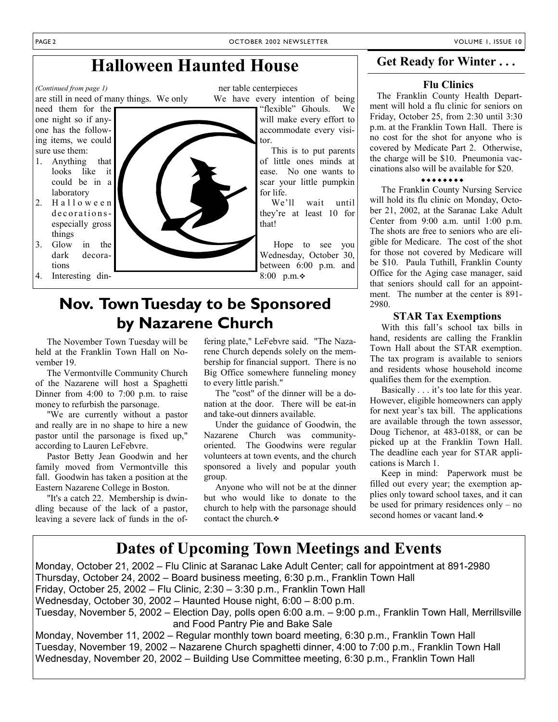## **Halloween Haunted House**

ner table centerpieces We have every intention of being "flexible" Ghouls. We

will make every effort to accommodate every visitor.

 This is to put parents of little ones minds at ease. No one wants to scar your little pumpkin for life.

 We'll wait until they're at least 10 for that!

 Hope to see you Wednesday, October 30, between 6:00 p.m. and 8:00 p.m.

### **Nov. Town Tuesday to be Sponsored by Nazarene Church**

 The November Town Tuesday will be held at the Franklin Town Hall on November 19.

 The Vermontville Community Church of the Nazarene will host a Spaghetti Dinner from 4:00 to 7:00 p.m. to raise money to refurbish the parsonage.

 "We are currently without a pastor and really are in no shape to hire a new pastor until the parsonage is fixed up," according to Lauren LeFebvre.

 Pastor Betty Jean Goodwin and her family moved from Vermontville this fall. Goodwin has taken a position at the Eastern Nazarene College in Boston.

 "It's a catch 22. Membership is dwindling because of the lack of a pastor, leaving a severe lack of funds in the of-

fering plate," LeFebvre said. "The Nazarene Church depends solely on the membership for financial support. There is no Big Office somewhere funneling money to every little parish."

 The "cost" of the dinner will be a donation at the door. There will be eat-in and take-out dinners available.

 Under the guidance of Goodwin, the Nazarene Church was communityoriented. The Goodwins were regular volunteers at town events, and the church sponsored a lively and popular youth group.

 Anyone who will not be at the dinner but who would like to donate to the church to help with the parsonage should contact the church.

### **Get Ready for Winter . . .**

#### **Flu Clinics**

 The Franklin County Health Department will hold a flu clinic for seniors on Friday, October 25, from 2:30 until 3:30 p.m. at the Franklin Town Hall. There is no cost for the shot for anyone who is covered by Medicate Part 2. Otherwise, the charge will be \$10. Pneumonia vaccinations also will be available for \$20.

#### \*\*\*\*\*\*\*\*

 The Franklin County Nursing Service will hold its flu clinic on Monday, October 21, 2002, at the Saranac Lake Adult Center from 9:00 a.m. until 1:00 p.m. The shots are free to seniors who are eligible for Medicare. The cost of the shot for those not covered by Medicare will be \$10. Paula Tuthill, Franklin County Office for the Aging case manager, said that seniors should call for an appointment. The number at the center is 891- 2980.

#### **STAR Tax Exemptions**

 With this fall's school tax bills in hand, residents are calling the Franklin Town Hall about the STAR exemption. The tax program is available to seniors and residents whose household income qualifies them for the exemption.

 Basically . . . it's too late for this year. However, eligible homeowners can apply for next year's tax bill. The applications are available through the town assessor, Doug Tichenor, at 483-0188, or can be picked up at the Franklin Town Hall. The deadline each year for STAR applications is March 1.

 Keep in mind: Paperwork must be filled out every year; the exemption applies only toward school taxes, and it can be used for primary residences only – no second homes or vacant land.  $\cdot$ 

### **Dates of Upcoming Town Meetings and Events**

Monday, October 21, 2002 – Flu Clinic at Saranac Lake Adult Center; call for appointment at 891-2980 Thursday, October 24, 2002 – Board business meeting, 6:30 p.m., Franklin Town Hall Friday, October 25, 2002 – Flu Clinic, 2:30 – 3:30 p.m., Franklin Town Hall Wednesday, October 30, 2002 – Haunted House night, 6:00 – 8:00 p.m. Tuesday, November 5, 2002 – Election Day, polls open 6:00 a.m. – 9:00 p.m., Franklin Town Hall, Merrillsville and Food Pantry Pie and Bake Sale Monday, November 11, 2002 – Regular monthly town board meeting, 6:30 p.m., Franklin Town Hall

Tuesday, November 19, 2002 – Nazarene Church spaghetti dinner, 4:00 to 7:00 p.m., Franklin Town Hall Wednesday, November 20, 2002 – Building Use Committee meeting, 6:30 p.m., Franklin Town Hall

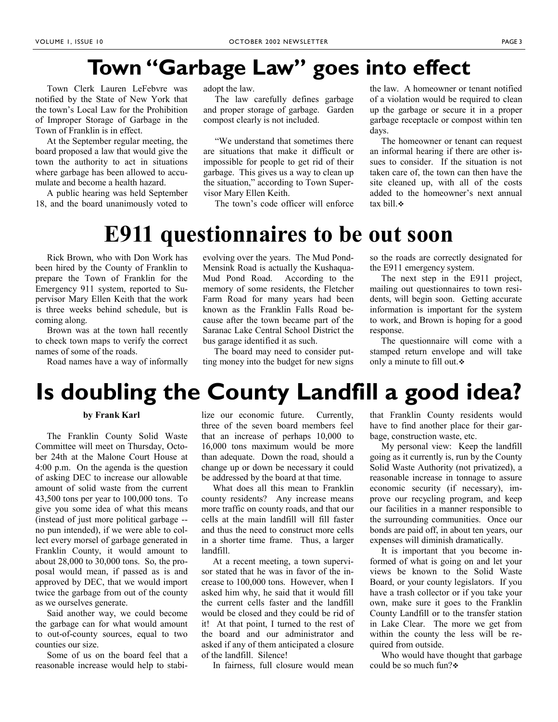## **Town "Garbage Law" goes into effect**

 Town Clerk Lauren LeFebvre was notified by the State of New York that the town's Local Law for the Prohibition of Improper Storage of Garbage in the Town of Franklin is in effect.

 At the September regular meeting, the board proposed a law that would give the town the authority to act in situations where garbage has been allowed to accumulate and become a health hazard.

 A public hearing was held September 18, and the board unanimously voted to

adopt the law.

 The law carefully defines garbage and proper storage of garbage. Garden compost clearly is not included.

 "We understand that sometimes there are situations that make it difficult or impossible for people to get rid of their garbage. This gives us a way to clean up the situation," according to Town Supervisor Mary Ellen Keith.

The town's code officer will enforce

the law. A homeowner or tenant notified of a violation would be required to clean up the garbage or secure it in a proper garbage receptacle or compost within ten days.

 The homeowner or tenant can request an informal hearing if there are other issues to consider. If the situation is not taken care of, the town can then have the site cleaned up, with all of the costs added to the homeowner's next annual tax bill  $\bullet$ 

## **E911 questionnaires to be out soon**

 Rick Brown, who with Don Work has been hired by the County of Franklin to prepare the Town of Franklin for the Emergency 911 system, reported to Supervisor Mary Ellen Keith that the work is three weeks behind schedule, but is coming along.

 Brown was at the town hall recently to check town maps to verify the correct names of some of the roads.

Road names have a way of informally

evolving over the years. The Mud Pond-Mensink Road is actually the Kushaqua-Mud Pond Road. According to the memory of some residents, the Fletcher Farm Road for many years had been known as the Franklin Falls Road because after the town became part of the Saranac Lake Central School District the bus garage identified it as such.

 The board may need to consider putting money into the budget for new signs

so the roads are correctly designated for the E911 emergency system.

 The next step in the E911 project, mailing out questionnaires to town residents, will begin soon. Getting accurate information is important for the system to work, and Brown is hoping for a good response.

 The questionnaire will come with a stamped return envelope and will take only a minute to fill out. $\div$ 

## **Is doubling the County Landfill a good idea?**

#### **by Frank Karl**

 The Franklin County Solid Waste Committee will meet on Thursday, October 24th at the Malone Court House at 4:00 p.m. On the agenda is the question of asking DEC to increase our allowable amount of solid waste from the current 43,500 tons per year to 100,000 tons. To give you some idea of what this means (instead of just more political garbage - no pun intended), if we were able to collect every morsel of garbage generated in Franklin County, it would amount to about 28,000 to 30,000 tons. So, the proposal would mean, if passed as is and approved by DEC, that we would import twice the garbage from out of the county as we ourselves generate.

 Said another way, we could become the garbage can for what would amount to out-of-county sources, equal to two counties our size.

 Some of us on the board feel that a reasonable increase would help to stabilize our economic future. Currently, three of the seven board members feel that an increase of perhaps 10,000 to 16,000 tons maximum would be more than adequate. Down the road, should a change up or down be necessary it could be addressed by the board at that time.

 What does all this mean to Franklin county residents? Any increase means more traffic on county roads, and that our cells at the main landfill will fill faster and thus the need to construct more cells in a shorter time frame. Thus, a larger landfill.

 At a recent meeting, a town supervisor stated that he was in favor of the increase to 100,000 tons. However, when I asked him why, he said that it would fill the current cells faster and the landfill would be closed and they could be rid of it! At that point, I turned to the rest of the board and our administrator and asked if any of them anticipated a closure of the landfill. Silence!

In fairness, full closure would mean

that Franklin County residents would have to find another place for their garbage, construction waste, etc.

 My personal view: Keep the landfill going as it currently is, run by the County Solid Waste Authority (not privatized), a reasonable increase in tonnage to assure economic security (if necessary), improve our recycling program, and keep our facilities in a manner responsible to the surrounding communities. Once our bonds are paid off, in about ten years, our expenses will diminish dramatically.

 It is important that you become informed of what is going on and let your views be known to the Solid Waste Board, or your county legislators. If you have a trash collector or if you take your own, make sure it goes to the Franklin County Landfill or to the transfer station in Lake Clear. The more we get from within the county the less will be required from outside.

 Who would have thought that garbage could be so much fun?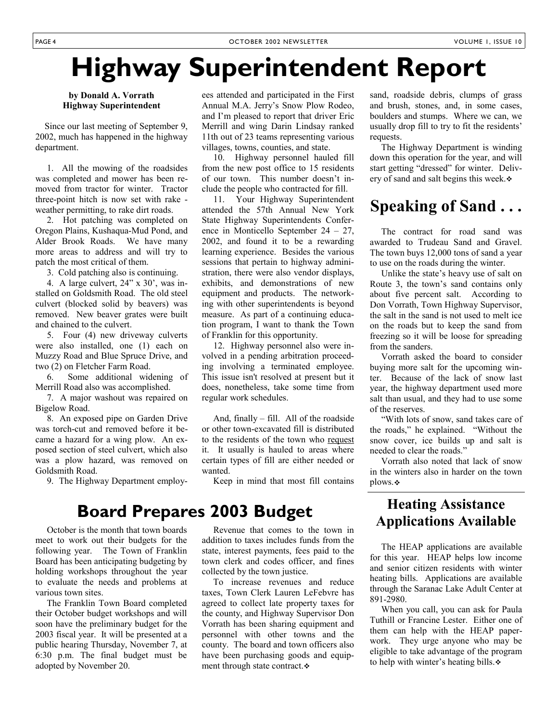## **Highway Superintendent Report**

**by Donald A. Vorrath Highway Superintendent** 

 Since our last meeting of September 9, 2002, much has happened in the highway department.

 1. All the mowing of the roadsides was completed and mower has been removed from tractor for winter. Tractor three-point hitch is now set with rake weather permitting, to rake dirt roads.

 2. Hot patching was completed on Oregon Plains, Kushaqua-Mud Pond, and Alder Brook Roads. We have many more areas to address and will try to patch the most critical of them.

3. Cold patching also is continuing.

 4. A large culvert, 24" x 30', was installed on Goldsmith Road. The old steel culvert (blocked solid by beavers) was removed. New beaver grates were built and chained to the culvert.

 5. Four (4) new driveway culverts were also installed, one (1) each on Muzzy Road and Blue Spruce Drive, and two (2) on Fletcher Farm Road.

 6. Some additional widening of Merrill Road also was accomplished.

 7. A major washout was repaired on Bigelow Road.

 8. An exposed pipe on Garden Drive was torch-cut and removed before it became a hazard for a wing plow. An exposed section of steel culvert, which also was a plow hazard, was removed on Goldsmith Road.

9. The Highway Department employ-

ees attended and participated in the First Annual M.A. Jerry's Snow Plow Rodeo, and I'm pleased to report that driver Eric Merrill and wing Darin Lindsay ranked 11th out of 23 teams representing various villages, towns, counties, and state.

 10. Highway personnel hauled fill from the new post office to 15 residents of our town. This number doesn't include the people who contracted for fill.

 11. Your Highway Superintendent attended the 57th Annual New York State Highway Superintendents Conference in Monticello September 24 – 27, 2002, and found it to be a rewarding learning experience. Besides the various sessions that pertain to highway administration, there were also vendor displays, exhibits, and demonstrations of new equipment and products. The networking with other superintendents is beyond measure. As part of a continuing education program, I want to thank the Town of Franklin for this opportunity.

 12. Highway personnel also were involved in a pending arbitration proceeding involving a terminated employee. This issue isn't resolved at present but it does, nonetheless, take some time from regular work schedules.

 And, finally – fill. All of the roadside or other town-excavated fill is distributed to the residents of the town who request it. It usually is hauled to areas where certain types of fill are either needed or wanted.

Keep in mind that most fill contains

### **Board Prepares 2003 Budget**

 October is the month that town boards meet to work out their budgets for the following year. The Town of Franklin Board has been anticipating budgeting by holding workshops throughout the year to evaluate the needs and problems at various town sites.

 The Franklin Town Board completed their October budget workshops and will soon have the preliminary budget for the 2003 fiscal year. It will be presented at a public hearing Thursday, November 7, at 6:30 p.m. The final budget must be adopted by November 20.

 Revenue that comes to the town in addition to taxes includes funds from the state, interest payments, fees paid to the town clerk and codes officer, and fines collected by the town justice.

 To increase revenues and reduce taxes, Town Clerk Lauren LeFebvre has agreed to collect late property taxes for the county, and Highway Supervisor Don Vorrath has been sharing equipment and personnel with other towns and the county. The board and town officers also have been purchasing goods and equipment through state contract.

sand, roadside debris, clumps of grass and brush, stones, and, in some cases, boulders and stumps. Where we can, we usually drop fill to try to fit the residents' requests.

 The Highway Department is winding down this operation for the year, and will start getting "dressed" for winter. Delivery of sand and salt begins this week.

### **Speaking of Sand . . .**

 The contract for road sand was awarded to Trudeau Sand and Gravel. The town buys 12,000 tons of sand a year to use on the roads during the winter.

 Unlike the state's heavy use of salt on Route 3, the town's sand contains only about five percent salt. According to Don Vorrath, Town Highway Supervisor, the salt in the sand is not used to melt ice on the roads but to keep the sand from freezing so it will be loose for spreading from the sanders.

 Vorrath asked the board to consider buying more salt for the upcoming winter. Because of the lack of snow last year, the highway department used more salt than usual, and they had to use some of the reserves.

 "With lots of snow, sand takes care of the roads," he explained. "Without the snow cover, ice builds up and salt is needed to clear the roads."

 Vorrath also noted that lack of snow in the winters also in harder on the town plows.

### **Heating Assistance Applications Available**

 The HEAP applications are available for this year. HEAP helps low income and senior citizen residents with winter heating bills. Applications are available through the Saranac Lake Adult Center at 891-2980.

 When you call, you can ask for Paula Tuthill or Francine Lester. Either one of them can help with the HEAP paperwork. They urge anyone who may be eligible to take advantage of the program to help with winter's heating bills.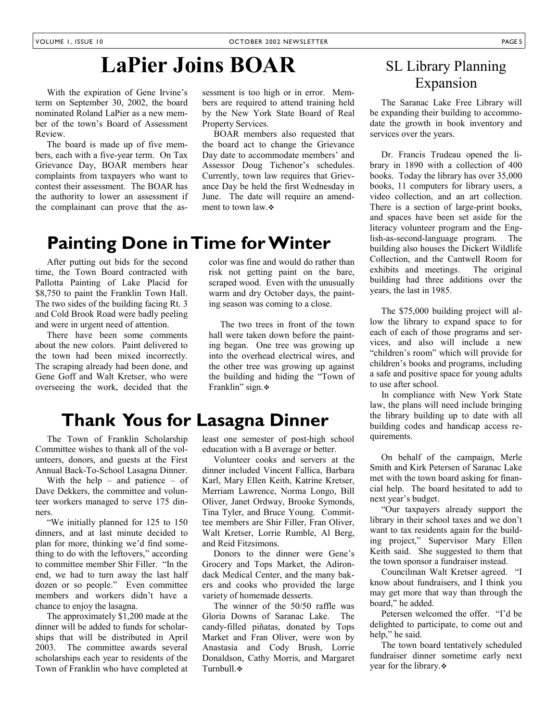## **LaPier Joins BOAR**

 With the expiration of Gene Irvine's term on September 30, 2002, the board nominated Roland LaPier as a new member of the town's Board of Assessment Review.

 The board is made up of five members, each with a five-year term. On Tax Grievance Day, BOAR members hear complaints from taxpayers who want to contest their assessment. The BOAR has the authority to lower an assessment if the complainant can prove that the assessment is too high or in error. Members are required to attend training held by the New York State Board of Real Property Services.

 BOAR members also requested that the board act to change the Grievance Day date to accommodate members' and Assessor Doug Tichenor's schedules. Currently, town law requires that Grievance Day be held the first Wednesday in June. The date will require an amendment to town law.

color was fine and would do rather than risk not getting paint on the bare, scraped wood. Even with the unusually warm and dry October days, the painting season was coming to a close.

 The two trees in front of the town hall were taken down before the painting began. One tree was growing up into the overhead electrical wires, and the other tree was growing up against the building and hiding the "Town of

## **Painting Done in Time for Winter**

 After putting out bids for the second time, the Town Board contracted with Pallotta Painting of Lake Placid for \$8,750 to paint the Franklin Town Hall. The two sides of the building facing Rt. 3 and Cold Brook Road were badly peeling and were in urgent need of attention.

 There have been some comments about the new colors. Paint delivered to the town had been mixed incorrectly. The scraping already had been done, and Gene Goff and Walt Kretser, who were overseeing the work, decided that the

### **Thank Yous for Lasagna Dinner**

 The Town of Franklin Scholarship Committee wishes to thank all of the volunteers, donors, and guests at the First Annual Back-To-School Lasagna Dinner.

With the help – and patience – of Dave Dekkers, the committee and volunteer workers managed to serve 175 dinners.

 "We initially planned for 125 to 150 dinners, and at last minute decided to plan for more, thinking we'd find something to do with the leftovers," according to committee member Shir Filler. "In the end, we had to turn away the last half dozen or so people." Even committee members and workers didn't have a chance to enjoy the lasagna.

 The approximately \$1,200 made at the dinner will be added to funds for scholarships that will be distributed in April 2003. The committee awards several scholarships each year to residents of the Town of Franklin who have completed at

Franklin" sign.

least one semester of post-high school education with a B average or better.

 Volunteer cooks and servers at the dinner included Vincent Fallica, Barbara Karl, Mary Ellen Keith, Katrine Kretser, Merriam Lawrence, Norma Longo, Bill Oliver, Janet Ordway, Brooke Symonds, Tina Tyler, and Bruce Young. Committee members are Shir Filler, Fran Oliver, Walt Kretser, Lorrie Rumble, Al Berg, and Reid Fitzsimons.

 Donors to the dinner were Gene's Grocery and Tops Market, the Adirondack Medical Center, and the many bakers and cooks who provided the large variety of homemade desserts.

 The winner of the 50/50 raffle was Gloria Downs of Saranac Lake. The candy-filled piñatas, donated by Tops Market and Fran Oliver, were won by Anastasia and Cody Brush, Lorrie Donaldson, Cathy Morris, and Margaret Turnbull.

### SL Library Planning Expansion

 The Saranac Lake Free Library will be expanding their building to accommodate the growth in book inventory and services over the years.

 Dr. Francis Trudeau opened the library in 1890 with a collection of 400 books. Today the library has over 35,000 books, 11 computers for library users, a video collection, and an art collection. There is a section of large-print books, and spaces have been set aside for the literacy volunteer program and the English-as-second-language program. The building also houses the Dickert Wildlife Collection, and the Cantwell Room for exhibits and meetings. The original building had three additions over the years, the last in 1985.

 The \$75,000 building project will allow the library to expand space to for each of each of those programs and services, and also will include a new "children's room" which will provide for children's books and programs, including a safe and positive space for young adults to use after school.

 In compliance with New York State law, the plans will need include bringing the library building up to date with all building codes and handicap access requirements.

 On behalf of the campaign, Merle Smith and Kirk Petersen of Saranac Lake met with the town board asking for financial help. The board hesitated to add to next year's budget.

 "Our taxpayers already support the library in their school taxes and we don't want to tax residents again for the building project," Supervisor Mary Ellen Keith said. She suggested to them that the town sponsor a fundraiser instead.

 Councilman Walt Kretser agreed. "I know about fundraisers, and I think you may get more that way than through the board," he added.

 Petersen welcomed the offer. "I'd be delighted to participate, to come out and help," he said.

 The town board tentatively scheduled fundraiser dinner sometime early next year for the library.